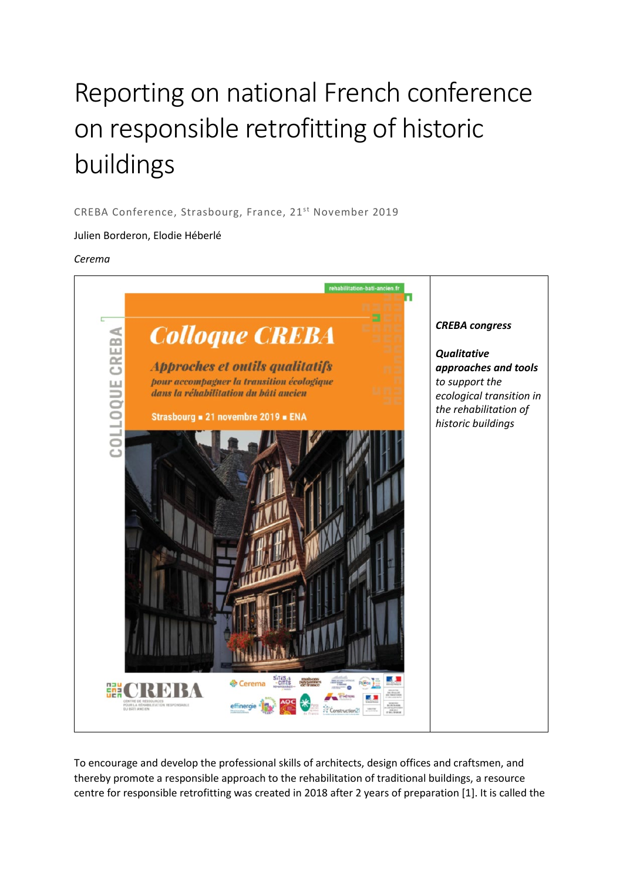## Reporting on national French conference on responsible retrofitting of historic buildings

CREBA Conference, Strasbourg, France, 21st November 2019

## Julien Borderon, Elodie Héberlé

## *Cerema*



To encourage and develop the professional skills of architects, design offices and craftsmen, and thereby promote a responsible approach to the rehabilitation of traditional buildings, a resource centre for responsible retrofitting was created in 2018 after 2 years of preparation [1]. It is called the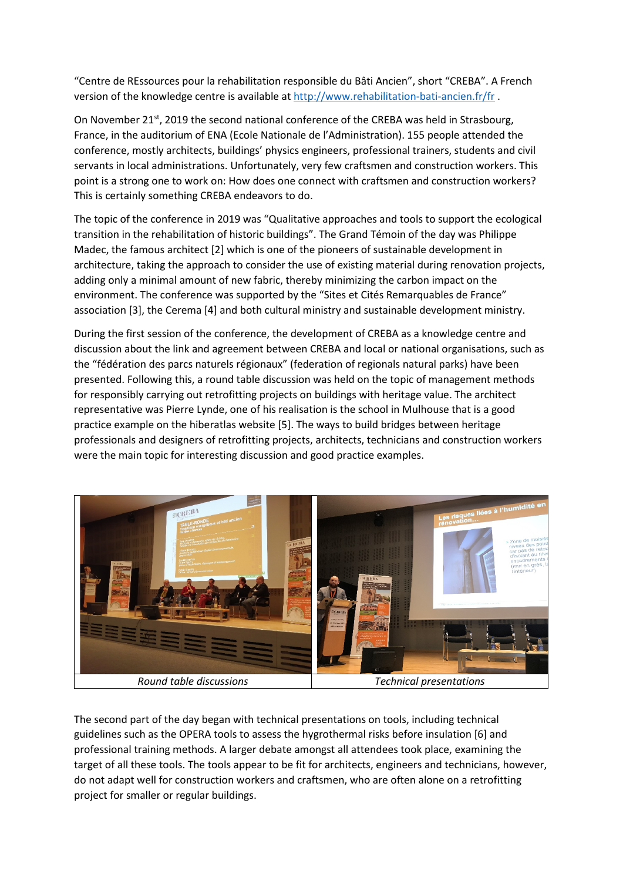"Centre de REssources pour la rehabilitation responsible du Bâti Ancien", short "CREBA". A French version of the knowledge centre is available a[t http://www.rehabilitation-bati-ancien.fr/fr](http://www.rehabilitation-bati-ancien.fr/fr) .

On November 21<sup>st</sup>, 2019 the second national conference of the CREBA was held in Strasbourg, France, in the auditorium of ENA (Ecole Nationale de l'Administration). 155 people attended the conference, mostly architects, buildings' physics engineers, professional trainers, students and civil servants in local administrations. Unfortunately, very few craftsmen and construction workers. This point is a strong one to work on: How does one connect with craftsmen and construction workers? This is certainly something CREBA endeavors to do.

The topic of the conference in 2019 was "Qualitative approaches and tools to support the ecological transition in the rehabilitation of historic buildings". The Grand Témoin of the day was Philippe Madec, the famous architect [2] which is one of the pioneers of sustainable development in architecture, taking the approach to consider the use of existing material during renovation projects, adding only a minimal amount of new fabric, thereby minimizing the carbon impact on the environment. The conference was supported by the "Sites et Cités Remarquables de France" association [3], the Cerema [4] and both cultural ministry and sustainable development ministry.

During the first session of the conference, the development of CREBA as a knowledge centre and discussion about the link and agreement between CREBA and local or national organisations, such as the "fédération des parcs naturels régionaux" (federation of regionals natural parks) have been presented. Following this, a round table discussion was held on the topic of management methods for responsibly carrying out retrofitting projects on buildings with heritage value. The architect representative was Pierre Lynde, one of his realisation is the school in Mulhouse that is a good practice example on the hiberatlas website [5]. The ways to build bridges between heritage professionals and designers of retrofitting projects, architects, technicians and construction workers were the main topic for interesting discussion and good practice examples.



The second part of the day began with technical presentations on tools, including technical guidelines such as the OPERA tools to assess the hygrothermal risks before insulation [6] and professional training methods. A larger debate amongst all attendees took place, examining the target of all these tools. The tools appear to be fit for architects, engineers and technicians, however, do not adapt well for construction workers and craftsmen, who are often alone on a retrofitting project for smaller or regular buildings.